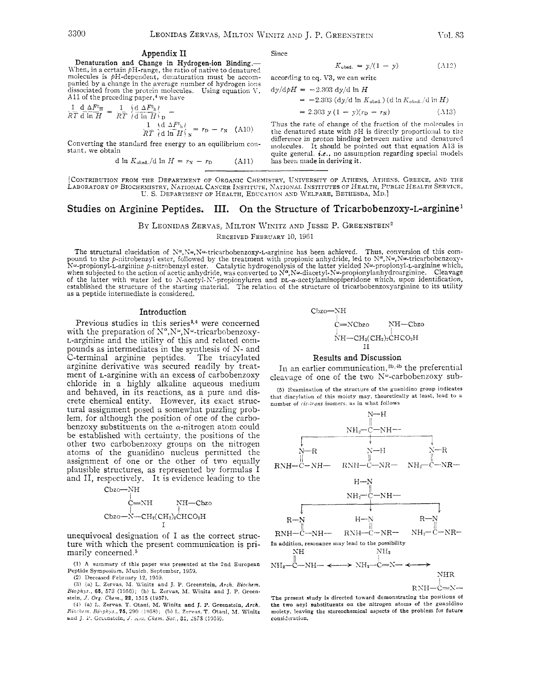#### Appendix II

Denaturation and Change in Hydrogen-ion Binding.-When, in a certain  $pH$ -range, the ratio of native to denatured molecules is  $pH$ -dependent, denaturation must be accompanied by a change in the average number of hydrogen ions dissociated from the protein molecules. Using equation V, A11 of the preceding paper,<sup>4</sup> we have

$$
\frac{1}{RT} \frac{d \Delta F^0 \mathbf{H}}{d \ln H} = \frac{1}{RT} \left\{ \frac{d \Delta F^0 \mathbf{h}}{d \ln H} \right\}_{\mathbf{D}} - \frac{1}{RT} \left\{ \frac{d \Delta F^0 \mathbf{h}}{d \ln H} \right\}_{\mathbf{N}} = r_{\mathbf{D}} - r_{\mathbf{N}} \quad \text{(A10)}
$$

Converting the standard free energy to an equilibrium constant, we obtain

> d l<br/>n $K_{\text{obsd}}$ /d ln $H = r_N - r_D$  $(A11)$

Since

$$
K_{\rm obsd.} = y/(1 - y) \tag{A12}
$$

according to eq. V3, we can write

$$
dy/dpH = -2.303 dy/d \ln H
$$

$$
= -2.303 (dy/d \ln K_{\text{obsd.}}) (d \ln K_{\text{obsd.}}/d \ln H)
$$

$$
= 2.303 y (1 - y)(rD - rN)
$$
 (A13)

Thus the rate of change of the fraction of the molecules in the denatured state with  $\rho$ H is directly proportional to the difference in proton binding between native and denatured molecules. It should be pointed out that equation A13 is quite general, *i.e.*, no assumption regarding special models has been made in deriving it.

[CONTRIBUTION FROM THE DEPARTMENT OF ORGANIC CHEMISTRY, UNIVERSITY OF ATHENS, ATHENS, GREECE, AND THE LABORATORY OF BIOCHEMISTRY, NATIONAL CANCER INSTITUTE, NATIONAL INSTITUTES OF HEALTH, PUBLIC HEALTH SERVICE, U. S. DEPARTMENT OF HEALTH, EDUCATION AND WELFARE, BETHESDA, MD.]

## Studies on Arginine Peptides. III. On the Structure of Tricarbobenzoxy-L-arginine<sup>1</sup>

# BY LEONIDAS ZERVAS, MILTON WINITZ AND JESSE P. GREENSTEIN<sup>2</sup>

RECEIVED FEBRUARY 10, 1961

The structural elucidation of N°, N°, N°-tricarbobenzoxy-L-arginine has been achieved. Thus, conversion of this compound to the *p*-nitrobenzyl ester, followed by the treatment with propionic anhydride, led to N<sup>°</sup>, N°, N of the latter with water led to N-acetyl-N'-propionylurea to N-7, NW--macetyl-NW-propionylamiyation exhibited.<br>Of the latter with water led to N-acetyl-N'-propionylurea and DL- $\alpha$ -acetylaminopiperidone which, upon identif as a peptide intermediate is considered.

#### Introduction

Previous studies in this series<sup>3,4</sup> were concerned with the preparation of  $N^{\alpha}$ ,  $N^{\omega}$ ,  $N^{\omega}$ -tricarbobenzoxy-L-arginine and the utility of this and related compounds as intermediates in the synthesis of N- and<br>C-terminal arginine peptides. The triacylated arginine derivative was secured readily by treatment of L-arginine with an excess of carbobenzoxy chloride in a highly alkaline aqueous medium and behaved, in its reactions, as a pure and discrete chemical entity. However, its exact structural assignment posed a somewhat puzzling problem, for although the position of one of the carbobenzoxy substituents on the  $\alpha$ -nitrogen atom could be established with certainty, the positions of the other two carbobenzoxy groups on the nitrogen atoms of the guanidino nucleus permitted the assignment of one or the other of two equally plausible structures, as represented by formulas I<br>and II, respectively. It is evidence leading to the

$$
\begin{array}{c}\text{C}bzo-\text{NH}\\\hspace{2.5cm}\text{C}=\text{NH}\hspace{2.5cm}\text{NH}-\text{C}bzo\\\text{C}bzo-\text{N}-\text{CH}_2(\text{CH}_2)_2\text{CHCO}_2\text{H}\end{array}
$$

unequivocal designation of I as the correct structure with which the present communication is primarily concerned.<sup>5</sup>

(1) A summary of this paper was presented at the 2nd European Peptide Symposium, Munich, September, 1959.

(2) Deceased February 12, 1959.<br>
(3) (a) L. Zervas, M. Winitz and J. P. Greenstein, *Arch. Biochem.* Biophys., 65, 573 (1956); (b) L. Zervas, M. Winitz and J. P. Greenstein,  $J. Org. Chem., 22, 1515 (1957).$ 

(4) (a) L. Zervas, T. Otani, M. Winitz and J. P. Greenstein, Arch. Biochem, Biophys., 75, 290 (1958); (b) L. Zervas, T. Otani, M. Winitz and J. P. Greenstein, J. Am. Chem. Soc., 31, 2878 (1959).

#### Results and Discussion

In an earlier communication,<sup>3b,4b</sup> the preferential cleavage of one of the two  $N^{\omega}$ -carbobenzoxy sub-

(5) Examination of the structure of the guanidino group indicates that diacylation of this moiety may, theoretically at least, lead to a number of cis-trans isomers, as in what follows



RNH--C=N-

The present study is directed toward demonstrating the positions of the two acyl substituents on the nitrogen atoms of the guanidino moiety, leaving the stereochemical aspects of the problem for future consideration.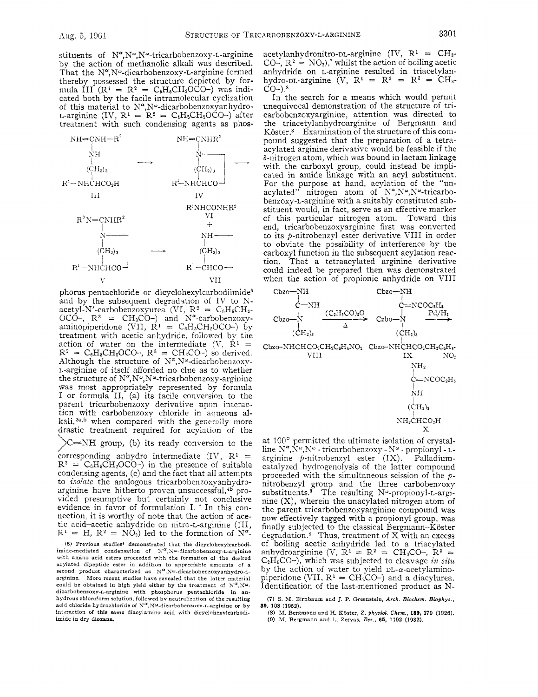stituents of  $N^{\alpha}, N^{\omega}$ . Novembre tricarbobenzoxy-L-arginine by the action of methanolic alkali was described. That the  $N^{\alpha}$ , N<sup>o</sup>-dicarbobenzoxy-L-arginine formed thereby possessed the structure depicted by formula III ( $\mathbb{R}^1 = \mathbb{R}^2 = C_6H_6CH_2OCO$ ) was indicated both by the facile intramolecular cyclization of this material to  $N^{\alpha}$ ,  $N^{\omega}$ -dicarbobenzoxyanhydro-<br>t-arginine (IV,  $R^1 = R^2 = C_t H_t CH_2 OCO$ -) after treatment with such condensing agents as phos-



phorus pentachloride or dicyclohexylcarbodiimide<sup>6</sup> and by the subsequent degradation of IV to Nacetyl-N'-carbobenzoxyurea (VI,  $R^2 = C_6H_5CH_2$ -OCO-,  $R^3$  = CH<sub>3</sub>CO-) and N<sup>a</sup>-carbobenzoxyaminopiperidone (VII,  $\dot{R}^1 = C_6H_5CH_2OCO$ ) by treatment with acetic anhydride, followed by the action of water on the intermediate  $(V, R<sup>1</sup>)$  $R^2 = C_6H_6CH_2OCO^2$ ,  $R^3 = CH_3CO^-$ ) so derived. Although the structure of  $N^{\alpha}$ ,  $N^{\omega}$ -dicarbobenzoxy-L-arginine of itself afforded no clue as to whether the structure of  $N^{\alpha}$ ,  $N^{\omega}$ , tricarbobenzoxy-arginine was most appropriately represented by formula I or formula 11, (a) its facile conversion to the parent tricarbobenzoxy derivative upon interaction with carbobenzoxy chloride in aqueous alkali,  $a,b$  when compared with the generally more drastic treatment required for acylation of the  $\sum$ =NH group, (b) its ready conversion to the corresponding anhydro intermediate  $(IV, R<sup>1</sup>)$  $R^2 = C_6H_6CH_2OCO$ ) in the presence of suitable

condensing agents, (c) and the fact that all attempts to *isolate* the analogous tricarbobenzoxyanhydroarginine have hitherto proven unsuccessful,<sup>4b</sup> provided presumptive but certainly not conclusive evidence in favor of formulation I. \* In this connection, it is worthy of note that the action of acetic acid-acetic anhydride on nitro-L-arginine (111,  $R^1 = H$ ,  $R^2 = N\dot{O}_2$  led to the formation of  $N^{\alpha}$ .

(6) Previous studies<sup>4</sup> demonstrated that the dicyclohexylcarhodi-<br>imide-mediated condensation of  $N^{\alpha}$ ,  $N^{\omega}$ -dicarbobenzoxy-*x*-arginine with amino acid esters proceeded with the formation of the desired acylated dipeptide ester in addition to appreciable amounts of a<br>second product characterized as  $N^{\alpha}$ , N $^{\omega}$ -dicarbohenzoxyanhydro-targinine. More recent studies have revealed that the latter material could be obtained in high yield either by the treatment of  $N^{\alpha}$ ,  $N^{\omega}$ . dicarbobenzoxy-&arginine with phosphorus pentachloride in **an**hydrous chloroform solution, followed by neutralization of the resulting acid chloride hydrochloride of  $N^{\alpha}$ ,  $N^{\omega}$ -dicarbobenzoxy-L-arginine or by interaction of **this** same diacylamiuo acid with dicyclohexylcarbodiimide in dry **dioxane.** 

acetylanhydronitro-DL-arginine  $(IV, R^1 = CH_3$ -CO-,  $R^2 = NQ_2$ , whilst the action of boiling acetic anhydride on L-arginine resulted in triacetylanhydro-DL-arginine  $(V, R^1 = R^2 = R^3 = CH_3$ - $CO-$ ).<sup>8</sup>

In the search for a means which would permit unequivocal demonstration of the structure of tricarbobenzoxyarginine, attention was directed to the triacetylanhydroarginine of Bergmann and Köster.<sup>8</sup> Examination of the structure of this compound suggested that the preparation of a tetraacylated arginine derivative would be feasible if the  $\delta$ -nitrogen atom, which was bound in lactam linkage with the carboxyl group, could instead be implicated in amide linkage with an acyl substituent. For the purpose at hand, acylation of the "unacylated" nitrogen atom of  $N^{\alpha}$ ,  $N^{\omega}$ ,  $N^{\omega}$ -tricarbobenzoxy-L-arginine with a suitably constituted substituent would, in fact, serve as an efiective marker of this particular nitrogen atom. Toward this end, tricarbobenzoxyarginine first was converted to its p-nitrobenzyl ester derivative VI11 in order to obviate the possibility of interference by the carboxyl function in the subsequent acylation reaction. That a tetraacylated arginine derivative could indeed be prepared then was demonstrated when the action of propionic anhydride on VI11



 $(CH<sub>2</sub>)<sub>a</sub>$ NH2CHCO2H x

at 100' permitted the ultimate isolation of crystalline  $N^{\alpha}, N^{\omega}$  - tricarbobenzoxy -  $N^{\omega}$  - propionyl - Larginine  $p$ -nitrobenzyl ester  $(IX)$ . Palladiumcatalyzed hydrogenolysis of the latter compound proceeded with the simultaneous scission of the *p*nitrobenzyl group and the three carboben7oxy  $substituents.<sup>9</sup>$  The resulting N<sup>o</sup>-propionyl-L-arginine (X), wherein the unacylated nitrogen atom of the parent tricarbobenzoxyarginine compound was now effectively tagged with a propionyl group, was finally subjected to the classical Bergmann-Köster degradation.<sup>8</sup> Thus, treatment of  $X$  with an excess of boiling acetic anhydride led to a triacylated anhydroarginine (V,  $\mathbb{R}^1 = \mathbb{R}^2 = \mathrm{CH}_3\mathrm{CO}$ ,  $\mathbb{R}^3 =$  $C_2H_5CO$ -), which was subjected to cleavage *in situ* by the action of water to yield  $DL-\alpha$ -acetylaminopiperidone (VII,  $R^1 = CH_3CO$ ) and a diacylurea. Identification of the last-mentioned product as N-

*(8)* M. Bergmann and **H.** Kbster, *2. physiol. Ckcm.,* **169,** 179 (1926). **(9) M.** Bergmann and L. Zervas, *Ber., 65,* 1192 **(1932).** 

**<sup>(7)</sup>** *S* **M.** Birnbaurn and J. *P.* Greenstein, *Arch. Biochsm. Biophys.,*  **39, 108** (1952).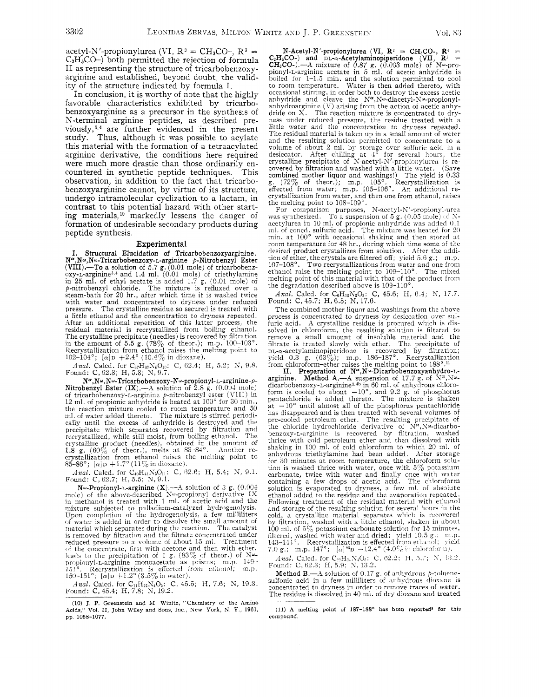Vol. 83

acetyl-N'-propionylurea (VI,  $R^2 = CH_3CO$ -,  $R^3 =$  $C_2H_5CO-$ ) both permitted the rejection of formula 11 as representing the structure of tricarbobenzoxyarginine and established, beyond doubt, the validity of the structure indicated by formula I.

In conclusion, it is worthy of note that the highly favorable characteristics exhibited by tricarbobenzoxyarginine as a precursor in the synthesis of N-terminal arginine peptides, as described previously, **3,4** are further evidenced in the present study. Thus, although it was possible to acylate this material with the formation of a tetraacylated arginine derivative, the conditions here required were much more drastic than those ordinarily encountered in synthetic peptide techniques. This observation, in addition to the fact that tricarbobenzoxyarginine cannot, by virtue of its structure, undergo intramolecular cyclization to a lactam, in contrast to this potential hazard with other starting materials,  $10$  markedly lessens the danger of formation of undesirable secondary products during peptide synthesis.

#### Experimental

Structural Elucidation of Tricarbobenzoxyarginine. **N<sup>a</sup>,Nω,Nω-Tricarbobenzoxy-L-arginine** p-Nitrobenzyl Ester<br>**(VIII).—To** a solution of 5.7 g. (0.01 mole) of tricarbobenz-<br>oxy-L-arginine<sup>3,4</sup> and 1.4 ml. (0.01 mole) of triethylamine in **25** ml. of ethyl acetate is added 1.7 g. (0.01 mole) of 9-nitrobenzyl chloride. The mixture is refluxed over a steam-bath for 20 hr., after which time it is washed twice with water and concentrated to dryness under reduced pressure. The crystalline residue so secured is treated with *a* little etlianol and the concentration to dryness repeated. After an additional repetition of this latter process, the residual material is recrystallized from boiling ethanol. The crystalline precipitate (needles) is recovered by filtration in the amount of 5.5 g. *(78yc* of theor.); m.p. 100-103". Recrystallization from ethanol raises the melting point to 102-104'; *[a]~* **j-2.4"** (10.4% in diosane).

*Anal.* Calcd. for  $C_{37}H_{37}N_6O_{10}$ : C,  $62.4$ ; H,  $5.2$ ; N, 9.8. Found: C,  $62.3$ ; H,  $5.3$ ; N, 9.7.

 $N^{\alpha},N^{\omega},N^{\omega}$ -Tricarbobenzoxy-N $^{\omega}$ -propionyl-L-arginine- $\rho$ Nitrobenzyl Ester (IX).--A solution of 2.8 g. (0.004 mole) of tricarbobenzoxy-L-arginine p-nitrobenzyl ester (VIII) in 12 ml. of propionic anhydride is heated at 100° for 30 min., the reaction mixture cooled to room temperature and 50 ml. of water added thereto. The mixture is stirred periodi-cally until the excess of anhydride is destroyed and the precipitate which separates recovered by filtration and recrystallized, while still moist, from boiling ethanol. The crystalline product (needles), obtained in the amount of 1.8  $g. (60\% \text{ of } \text{theor.})$ , melts at  $83-84^{\circ}$ . Another re-1.8 g.  $(60\%$  of theor.), melts at 83–84°. Another re-<br>crystallization from ethanol raises the melting point to 85-86'; *[a]D* +1.7'(11

*dnal.* Calcd. for C<sub>40</sub>H<sub>41</sub>N<sub>5</sub>O<sub>11</sub>: C, 62.6; H, 5.4; N, 9.1. Found: C, 62.7; H, 5.5; N, 9.1.

N $\omega$ -Propionyl-L-arginine (X).--A solution of 3 g. (0.004 mole) of the above-described N $\omega$ -propionyl derivative IX in methanol is treated with 1 ml. of acetic acid and the mixture subjected to palladium-catalyzed hydrogenolysis. Ypon completion of the hydrogennlysis, a **few** milliliters of water is added in order to dissolve the sinall amount of material which separates during the reaction. The catalyst is removed by filtration and the filtrate concentrated under reduced pressurc. *to* a volume of about 15 ml. Treatment of the concentrate, first with acetone and then with ether, leads to the precipitation of 1 g. *(83%* of theor.) of **Xu**propionyl-L-arginine monoacetate as prisms; m.p. 149-<br>151° Recrystallization is effected from ethanol: m.p. Recrystallization is effected from ethanol; m.p. 150-151°;  $\alpha|D + 1.2^{\circ} (3.5\% \text{ in water}).$ 

*Anal.* Calcd. for C<sub>11</sub>H<sub>22</sub>N<sub>4</sub>O<sub>8</sub>: C, 45.5; H, 7.6; N, 19.3. Found: C, 45.4; H, 7.8; N, 19.2.

 $N$ -Acetyl-N'-propionylurea (VI,  $R^2 = CH_3CO$ -,  $R^3 =$ C<sub>2</sub>H<sub>3</sub>CO-) and DL- $\alpha$ -Acetylaminopiperidone (VII,  $\mathbf{R}^1 = \mathbf{C}\mathbf{H}_3\mathbf{CO}$ -).---A mixture of 0.87 g. (0.003 mole) of  $N^{\omega}$ -pro-<br>pionyl-L-arginine acetate in 5 ml. of acetic anhydride is boiled for 1-1.5 min. and the solution permitted to cool to room temperature. Water is then added thereto, with occasional stirring, in order both to destroy the excess acetic anhydride and cleave the  $N^{\alpha}$ , N $^{\omega}$ -diacetyl-N $^{\omega}$ -propionylanhydroarginine (V) arising from the action of acetic anhy-<br>dride on X. The reaction mixture is concentrated to dryness under reduced pressure, the residue treated with a little water and the concentration to dryness repeated. The residual material is taken up in a small amount of water and the resulting solution permitted to concentrate to a volume of about 2 ml. by storage over sulfuric acid in a desiccator. After chilling at  $4^{\circ}$  for several hours, the crystalline precipitate of N-acetyl-N'-propionylurea is recovered by filtration and washed with a little water. (Save combined mother liquor and washings!) The yield is 0.33 g. *(72%* of theor.); m.p. 105'. Recrystallization is effected from water; m.p. 105-106°. An additioual re-<br>crystallization from water, and then one from ethanol, raises

the melting point to  $108-109^\circ$ .<br>
For comparison purposes, N-acetyl-N'-propionyl-urea<br>
was synthesized. To a suspension of 5 g. (0.05 mole) of Nacetylurea in 10 ml. of propionic anhydride was added 0.1 ml. of concd. sulfuric acid. The mixture was heated for 20 min. at 100° with occasional shaking and then stored at room temperature for 48 hr., during which time some of the desired product crystallizes from solution. After the addition of ether, the crystals are filtered off; yield 5.6 g.; in.p.<br>107–108°. Two recrystallizations from water and one from ethanol raise the melting point to  $109-110^{\circ}$ . The mixed melting point of this material with that of the product from the degradation described above is 109-110".

*Anal.* Calcd. for  $C_6H_{10}N_2O_3$ : C, 45.6; H, 6.4; N, 17.7. Found: C,45.7; H,6.5; N, 17.6.

The combined mother liquor and washings from the above process is concentrated to dryness by desiccation over sulfuric acid. A crystalline residue is procured which is dissolved in chloroform, the resulting solution is filtered to remove a small amount of insoluble material and the filtrate is treated slowly with ether. The precipitate of DL-a-acetylaminopiperidone is recovered by filtration;<br>yield 0.3 g. (63%); m.p. 186–187°. Recrystallization<br>from chloroform-ether raises the melting point to 188°.<sup>11</sup><br>II. Preparation of  $N^{\alpha}, N^{\omega}$ -Dicarbobenzoxyanhydro

arginine. Method A.—A suspension of 17.7 g. of N<sup>a</sup>,N<sup>w</sup>-<br>dicarbobenzoxy-L-arginine<sup>3,4b</sup> in 60 ml. of anhydrous chloroform is cooled to about  $-10^{\circ}$ , and 9.2 g. of phosphorus pentachloride is added thereto. The mixture is shaken at  $-10^{\circ}$  until almost all of the phosphorus pentachloride has disappeared and is then treated with several volumes of pre-cooled petroleum ether. The resulting precipitate of the chloride hydrochloride derivative of  $N^{\alpha},N^{\omega}$ -dicarbobenzosy-L-arginine is recovered by filtration, washed thrice with cold petroleum ether and then dissolved with shaking in 100 ml. of cold chloroform to which 20 ml. of anhydrous triethylamine had been added. After storagc for 30 minutes at room temperature, the chloroform solu-tion is washed thrice with water, once with *574* potassium carbonate, twice with water and finally once with water containing a few drops of acetic acid. The chloroform solution is evaporated to dryness, a few ml. of absolute ethanol added to the residue and the evaporation repeated. Following treatment of the residual material with ethanol and storage of the resulting solution for several hours in the cold, a crystalline material separates which is recovered by filtration, washed with a little ethanol, shaken in about<br>100 ml. of 5% potassium carbonate solution for 15 minutes, filtered, washed with water and dried; yield 10.5 g.; 111.p.<br>143–144°. Recrystallization is effected from ethanol; yield 7.0 g.; m.p.  $147^{\circ}$ ;  $[\alpha]^{25}D -12.4^{\circ}$  (4.0% in chloroform).

*Anal.* Calcd. for C<sub>22</sub>H<sub>24</sub>N<sub>4</sub>O<sub>6</sub>: C, 62.2; H, 5.7; N, 13.2. Found: C, 62.3; H, 5.9; N, 13.2.

**Method B.**—A solution of 0.17 g. of anly drous p-toluene-sulfonic acid in a few milliliters of anly drous dioxane is concentrated to dryness in order to remove traces of water. The residue is dissolved in 40 ml. of dry dioxane and treated

(11) A melting point of 187-188° has been reported<sup>®</sup> for this **compound.** 

<sup>(10)</sup> J **P. Greenstein and XI Winitz, "Chemistry of the Amino Acids,"** Vol. **11,** John **Wiley and** Sons, Inc , **New York,** N. *Y.,* 1961, **pp** 1068-1077.